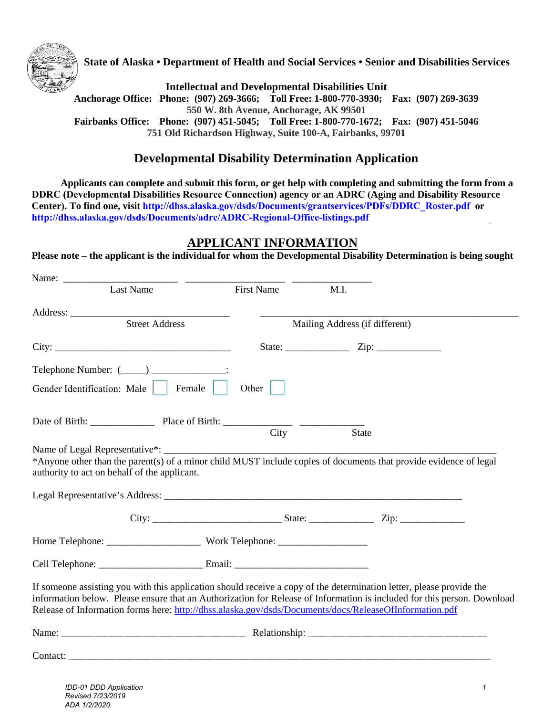

**State of Alaska • Department of Health and Social Services • Senior and Disabilities Services** 

**Intellectual and Developmental Disabilities Unit** 

**Anchorage Office: Phone: (907) 269-3666; Toll Free: 1-800-770-3930; Fax: (907) 269-3639 550 W. 8th Avenue, Anchorage, AK 99501 Fairbanks Office: Phone: (907) 451-5045; Toll Free: 1-800-770-1672; Fax: (907) 451-5046 751 Old Richardson Highway, Suite 100-A, Fairbanks, 99701** 

## **Developmental Disability Determination Application**

**Applicants can complete and submit this form, or get help with completing and submitting the form from a DDRC (Developmental Disabilities Resource Connection) agency or an ADRC (Aging and Disability Resource Center). To find one, visit http://dhss.alaska.gov/dsds/Documents/grantservices/PDFs/DDRC\_Roster.pdf or [http://dhss.alaska.gov/dsds/Documents/adrc/ADRC-Regional-Office-listings.pdf](http://dhss.alaska.gov/dsds/Pages/adrc/default.aspx)**

### **APPLICANT INFORMATION**

**Please note – the applicant is the individual for whom the Developmental Disability Determination is being sought** 

| Name: $\frac{ }{ }$                                                                                                                                                                                                                                                                                                                                       |               |                                                          |  |
|-----------------------------------------------------------------------------------------------------------------------------------------------------------------------------------------------------------------------------------------------------------------------------------------------------------------------------------------------------------|---------------|----------------------------------------------------------|--|
| Last Name                                                                                                                                                                                                                                                                                                                                                 | First Name    | M.I.                                                     |  |
|                                                                                                                                                                                                                                                                                                                                                           |               |                                                          |  |
| <b>Street Address</b>                                                                                                                                                                                                                                                                                                                                     |               | Mailing Address (if different)                           |  |
|                                                                                                                                                                                                                                                                                                                                                           |               | State: $\qquad \qquad \qquad \text{Zip: } \qquad \qquad$ |  |
| Telephone Number: (_____) _______________:                                                                                                                                                                                                                                                                                                                |               |                                                          |  |
| Gender Identification: Male   Female                                                                                                                                                                                                                                                                                                                      | Other $\vert$ |                                                          |  |
| Date of Birth: <u>Place of Birth: City</u>                                                                                                                                                                                                                                                                                                                |               |                                                          |  |
|                                                                                                                                                                                                                                                                                                                                                           |               | <b>State</b>                                             |  |
| authority to act on behalf of the applicant.                                                                                                                                                                                                                                                                                                              |               |                                                          |  |
|                                                                                                                                                                                                                                                                                                                                                           |               |                                                          |  |
|                                                                                                                                                                                                                                                                                                                                                           |               |                                                          |  |
| If someone assisting you with this application should receive a copy of the determination letter, please provide the<br>information below. Please ensure that an Authorization for Release of Information is included for this person. Download<br>Release of Information forms here: http://dhss.alaska.gov/dsds/Documents/docs/ReleaseOfInformation.pdf |               |                                                          |  |
|                                                                                                                                                                                                                                                                                                                                                           |               |                                                          |  |
|                                                                                                                                                                                                                                                                                                                                                           |               |                                                          |  |
|                                                                                                                                                                                                                                                                                                                                                           |               |                                                          |  |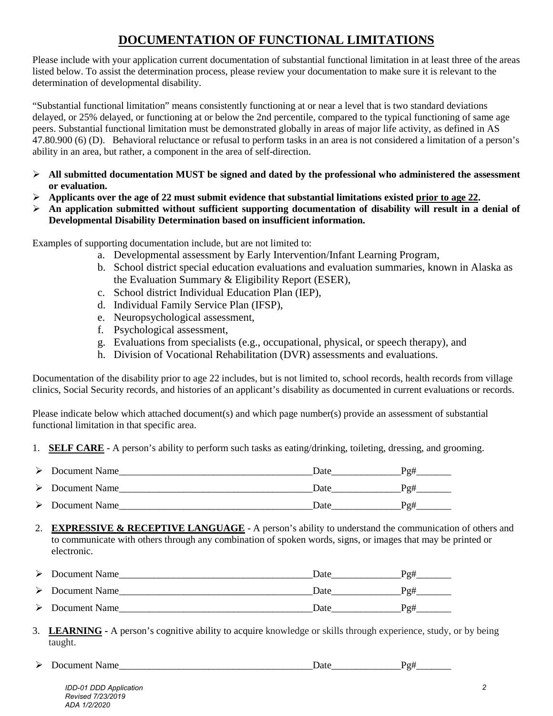# **DOCUMENTATION OF FUNCTIONAL LIMITATIONS**

Please include with your application current documentation of substantial functional limitation in at least three of the areas listed below. To assist the determination process, please review your documentation to make sure it is relevant to the determination of developmental disability.

"Substantial functional limitation" means consistently functioning at or near a level that is two standard deviations delayed, or 25% delayed, or functioning at or below the 2nd percentile, compared to the typical functioning of same age peers. Substantial functional limitation must be demonstrated globally in areas of major life activity, as defined in AS 47.80.900 (6) (D). Behavioral reluctance or refusal to perform tasks in an area is not considered a limitation of a person's ability in an area, but rather, a component in the area of self-direction.

- **All submitted documentation MUST be signed and dated by the professional who administered the assessment or evaluation.**
- $\triangleright$  Applicants over the age of 22 must submit evidence that substantial limitations existed prior to age 22.
- **An application submitted without sufficient supporting documentation of disability will result in a denial of Developmental Disability Determination based on insufficient information.**

Examples of supporting documentation include, but are not limited to:

- a. Developmental assessment by Early Intervention/Infant Learning Program,
- b. School district special education evaluations and evaluation summaries, known in Alaska as the Evaluation Summary & Eligibility Report (ESER),
- c. School district Individual Education Plan (IEP),
- d. Individual Family Service Plan (IFSP),
- e. Neuropsychological assessment,
- f. Psychological assessment,
- g. Evaluations from specialists (e.g., occupational, physical, or speech therapy), and
- h. Division of Vocational Rehabilitation (DVR) assessments and evaluations.

Documentation of the disability prior to age 22 includes, but is not limited to, school records, health records from village clinics, Social Security records, and histories of an applicant's disability as documented in current evaluations or records.

Please indicate below which attached document(s) and which page number(s) provide an assessment of substantial functional limitation in that specific area.

1. **SELF CARE** - A person's ability to perform such tasks as eating/drinking, toileting, dressing, and grooming.

| Document Name | Date | Po# |
|---------------|------|-----|
| Document Name | Date | Po# |
| Document Name | Date | Po# |

2. **EXPRESSIVE & RECEPTIVE LANGUAGE** - A person's ability to understand the communication of others and to communicate with others through any combination of spoken words, signs, or images that may be printed or electronic.

| Document Name | Date | Po# |
|---------------|------|-----|
| Document Name | Date | Po# |
| Document Name | Date | Po# |

3. **LEARNING -** A person's cognitive ability to acquire knowledge or skills through experience, study, or by being taught.

Document Name\_\_\_\_\_\_\_\_\_\_\_\_\_\_\_\_\_\_\_\_\_\_\_\_\_\_\_\_\_\_\_\_\_\_\_\_\_\_\_Date\_\_\_\_\_\_\_\_\_\_\_\_\_\_Pg#\_\_\_\_\_\_\_

*IDD-01 DDD Application Revised 7/23/2019 ADA 1/2/2020*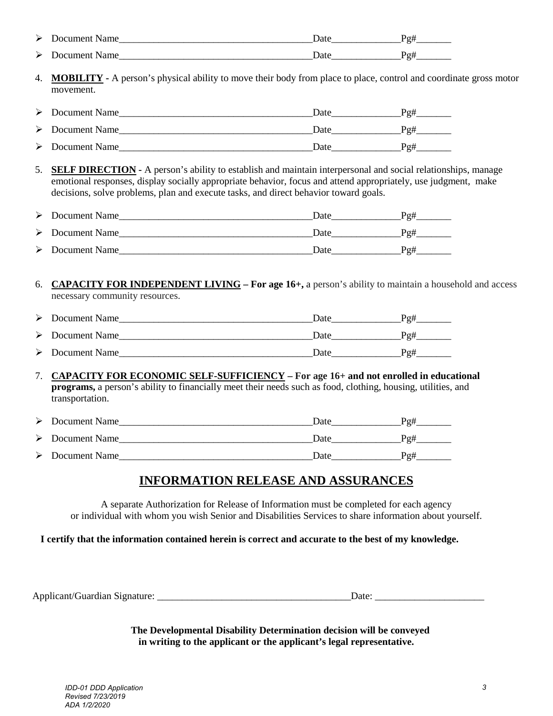| ➤ | Document Name | Jate | ∽  |
|---|---------------|------|----|
| ⋗ | Document Name | Jote | г. |

4. **MOBILITY -** A person's physical ability to move their body from place to place, control and coordinate gross motor movement.

| Document Name                  | Date | Po# |
|--------------------------------|------|-----|
| $\triangleright$ Document Name | Date | Po# |
| $\triangleright$ Document Name | Date | Po# |

5. **SELF DIRECTION -** A person's ability to establish and maintain interpersonal and social relationships, manage emotional responses, display socially appropriate behavior, focus and attend appropriately, use judgment, make decisions, solve problems, plan and execute tasks, and direct behavior toward goals.

| Document Name                  | Date | Po# |
|--------------------------------|------|-----|
| Document Name                  | Date | Po# |
| $\triangleright$ Document Name | Date | Po# |

6. **CAPACITY FOR INDEPENDENT LIVING – For age 16+,** a person's ability to maintain a household and access necessary community resources.

| $\triangleright$ Document Name | Date | Po# |
|--------------------------------|------|-----|
| $\triangleright$ Document Name | Date | Po# |
| $\triangleright$ Document Name | Date | Po# |

#### 7. **CAPACITY FOR ECONOMIC SELF-SUFFICIENCY – For age 16+ and not enrolled in educational programs,** a person's ability to financially meet their needs such as food, clothing, housing, utilities, and transportation.

| $\triangleright$ Document Name | Date | Po# |
|--------------------------------|------|-----|
| $\triangleright$ Document Name | Date | Po# |
| $\triangleright$ Document Name | Date | Po# |

# **INFORMATION RELEASE AND ASSURANCES**

A separate Authorization for Release of Information must be completed for each agency or individual with whom you wish Senior and Disabilities Services to share information about yourself.

**I certify that the information contained herein is correct and accurate to the best of my knowledge.** 

Applicant/Guardian Signature: \_\_\_\_\_\_\_\_\_\_\_\_\_\_\_\_\_\_\_\_\_\_\_\_\_\_\_\_\_\_\_\_\_\_\_\_\_\_\_Date: \_\_\_\_\_\_\_\_\_\_\_\_\_\_\_\_\_\_\_\_\_\_

**The Developmental Disability Determination decision will be conveyed in writing to the applicant or the applicant's legal representative.**